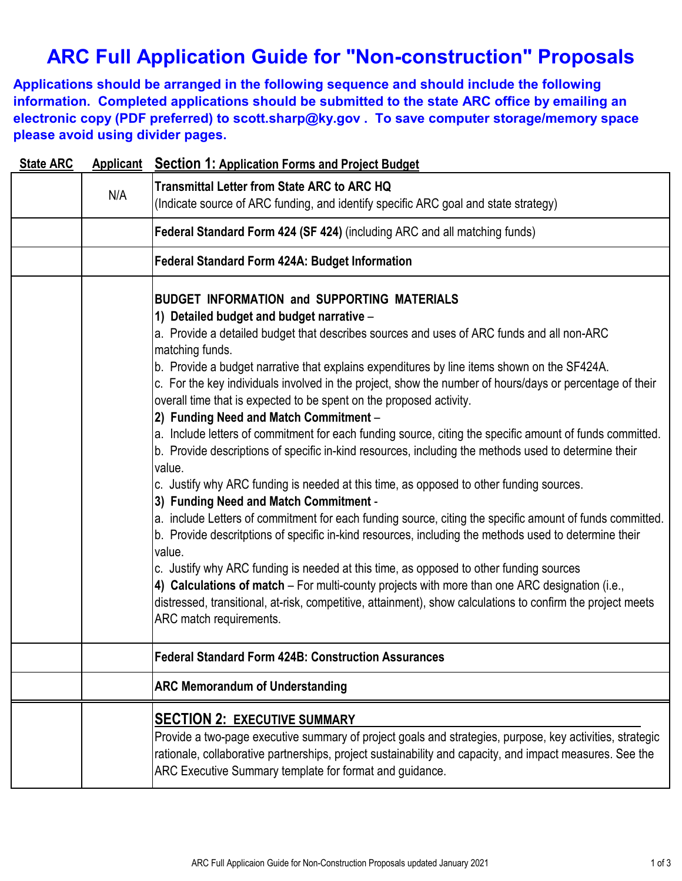# **ARC Full Application Guide for "Non-construction" Proposals**

**Applications should be arranged in the following sequence and should include the following information. Completed applications should be submitted to the state ARC office by emailing an electronic copy (PDF preferred) to scott.sharp@ky.gov . To save computer storage/memory space please avoid using divider pages.**

| <b>State ARC</b> |     | <b>Applicant</b> Section 1: Application Forms and Project Budget                                                                                                                                                                                                                                                                                                                                                                                                                                                                                                                                                                                                                                                                                                                                                                                                                                                                                                                                                                                                                                                                                                                                                                                                                                                                                                                                                                                                                    |
|------------------|-----|-------------------------------------------------------------------------------------------------------------------------------------------------------------------------------------------------------------------------------------------------------------------------------------------------------------------------------------------------------------------------------------------------------------------------------------------------------------------------------------------------------------------------------------------------------------------------------------------------------------------------------------------------------------------------------------------------------------------------------------------------------------------------------------------------------------------------------------------------------------------------------------------------------------------------------------------------------------------------------------------------------------------------------------------------------------------------------------------------------------------------------------------------------------------------------------------------------------------------------------------------------------------------------------------------------------------------------------------------------------------------------------------------------------------------------------------------------------------------------------|
|                  | N/A | <b>Transmittal Letter from State ARC to ARC HQ</b><br>(Indicate source of ARC funding, and identify specific ARC goal and state strategy)                                                                                                                                                                                                                                                                                                                                                                                                                                                                                                                                                                                                                                                                                                                                                                                                                                                                                                                                                                                                                                                                                                                                                                                                                                                                                                                                           |
|                  |     | Federal Standard Form 424 (SF 424) (including ARC and all matching funds)                                                                                                                                                                                                                                                                                                                                                                                                                                                                                                                                                                                                                                                                                                                                                                                                                                                                                                                                                                                                                                                                                                                                                                                                                                                                                                                                                                                                           |
|                  |     | <b>Federal Standard Form 424A: Budget Information</b>                                                                                                                                                                                                                                                                                                                                                                                                                                                                                                                                                                                                                                                                                                                                                                                                                                                                                                                                                                                                                                                                                                                                                                                                                                                                                                                                                                                                                               |
|                  |     | <b>BUDGET INFORMATION and SUPPORTING MATERIALS</b><br>1) Detailed budget and budget narrative -<br>a. Provide a detailed budget that describes sources and uses of ARC funds and all non-ARC<br>matching funds.<br>b. Provide a budget narrative that explains expenditures by line items shown on the SF424A.<br>c. For the key individuals involved in the project, show the number of hours/days or percentage of their<br>overall time that is expected to be spent on the proposed activity.<br>2) Funding Need and Match Commitment -<br>a. Include letters of commitment for each funding source, citing the specific amount of funds committed.<br>b. Provide descriptions of specific in-kind resources, including the methods used to determine their<br>value.<br>c. Justify why ARC funding is needed at this time, as opposed to other funding sources.<br>3) Funding Need and Match Commitment -<br>a. include Letters of commitment for each funding source, citing the specific amount of funds committed.<br>b. Provide descritptions of specific in-kind resources, including the methods used to determine their<br>value.<br>c. Justify why ARC funding is needed at this time, as opposed to other funding sources<br>4) Calculations of match – For multi-county projects with more than one ARC designation (i.e.,<br>distressed, transitional, at-risk, competitive, attainment), show calculations to confirm the project meets<br>ARC match requirements. |
|                  |     | <b>Federal Standard Form 424B: Construction Assurances</b>                                                                                                                                                                                                                                                                                                                                                                                                                                                                                                                                                                                                                                                                                                                                                                                                                                                                                                                                                                                                                                                                                                                                                                                                                                                                                                                                                                                                                          |
|                  |     | <b>ARC Memorandum of Understanding</b>                                                                                                                                                                                                                                                                                                                                                                                                                                                                                                                                                                                                                                                                                                                                                                                                                                                                                                                                                                                                                                                                                                                                                                                                                                                                                                                                                                                                                                              |
|                  |     | <b>SECTION 2: EXECUTIVE SUMMARY</b><br>Provide a two-page executive summary of project goals and strategies, purpose, key activities, strategic<br>rationale, collaborative partnerships, project sustainability and capacity, and impact measures. See the<br>ARC Executive Summary template for format and guidance.                                                                                                                                                                                                                                                                                                                                                                                                                                                                                                                                                                                                                                                                                                                                                                                                                                                                                                                                                                                                                                                                                                                                                              |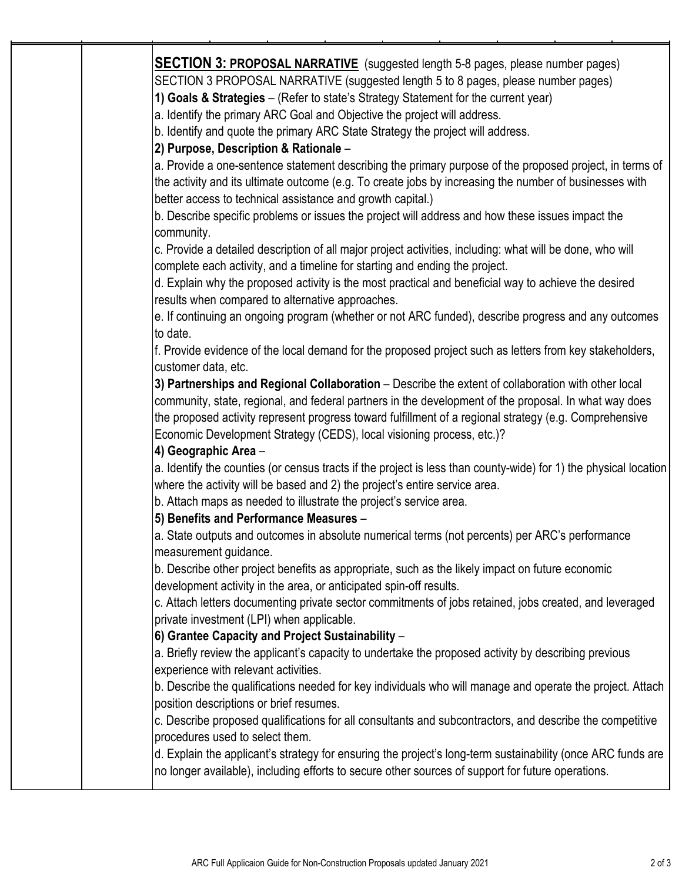| <b>SECTION 3: PROPOSAL NARRATIVE</b> (suggested length 5-8 pages, please number pages)                                                                                |
|-----------------------------------------------------------------------------------------------------------------------------------------------------------------------|
| SECTION 3 PROPOSAL NARRATIVE (suggested length 5 to 8 pages, please number pages)                                                                                     |
| 1) Goals & Strategies - (Refer to state's Strategy Statement for the current year)                                                                                    |
| a. Identify the primary ARC Goal and Objective the project will address.                                                                                              |
| b. Identify and quote the primary ARC State Strategy the project will address.                                                                                        |
| 2) Purpose, Description & Rationale -                                                                                                                                 |
| a. Provide a one-sentence statement describing the primary purpose of the proposed project, in terms of                                                               |
| the activity and its ultimate outcome (e.g. To create jobs by increasing the number of businesses with                                                                |
| better access to technical assistance and growth capital.)                                                                                                            |
| b. Describe specific problems or issues the project will address and how these issues impact the<br>community.                                                        |
| c. Provide a detailed description of all major project activities, including: what will be done, who will                                                             |
| complete each activity, and a timeline for starting and ending the project.                                                                                           |
| d. Explain why the proposed activity is the most practical and beneficial way to achieve the desired<br>results when compared to alternative approaches.              |
| e. If continuing an ongoing program (whether or not ARC funded), describe progress and any outcomes<br>to date.                                                       |
| f. Provide evidence of the local demand for the proposed project such as letters from key stakeholders,<br>customer data, etc.                                        |
| 3) Partnerships and Regional Collaboration - Describe the extent of collaboration with other local                                                                    |
| community, state, regional, and federal partners in the development of the proposal. In what way does                                                                 |
| the proposed activity represent progress toward fulfillment of a regional strategy (e.g. Comprehensive                                                                |
| Economic Development Strategy (CEDS), local visioning process, etc.)?                                                                                                 |
| 4) Geographic Area -                                                                                                                                                  |
| a. Identify the counties (or census tracts if the project is less than county-wide) for 1) the physical location                                                      |
| where the activity will be based and 2) the project's entire service area.                                                                                            |
| b. Attach maps as needed to illustrate the project's service area.                                                                                                    |
| 5) Benefits and Performance Measures -                                                                                                                                |
| a. State outputs and outcomes in absolute numerical terms (not percents) per ARC's performance<br>measurement guidance.                                               |
| b. Describe other project benefits as appropriate, such as the likely impact on future economic<br>development activity in the area, or anticipated spin-off results. |
| c. Attach letters documenting private sector commitments of jobs retained, jobs created, and leveraged<br>private investment (LPI) when applicable.                   |
| 6) Grantee Capacity and Project Sustainability -                                                                                                                      |
| a. Briefly review the applicant's capacity to undertake the proposed activity by describing previous                                                                  |
| experience with relevant activities.                                                                                                                                  |
| b. Describe the qualifications needed for key individuals who will manage and operate the project. Attach                                                             |
| position descriptions or brief resumes.                                                                                                                               |
| c. Describe proposed qualifications for all consultants and subcontractors, and describe the competitive                                                              |
| procedures used to select them.                                                                                                                                       |
| d. Explain the applicant's strategy for ensuring the project's long-term sustainability (once ARC funds are                                                           |
| no longer available), including efforts to secure other sources of support for future operations.                                                                     |